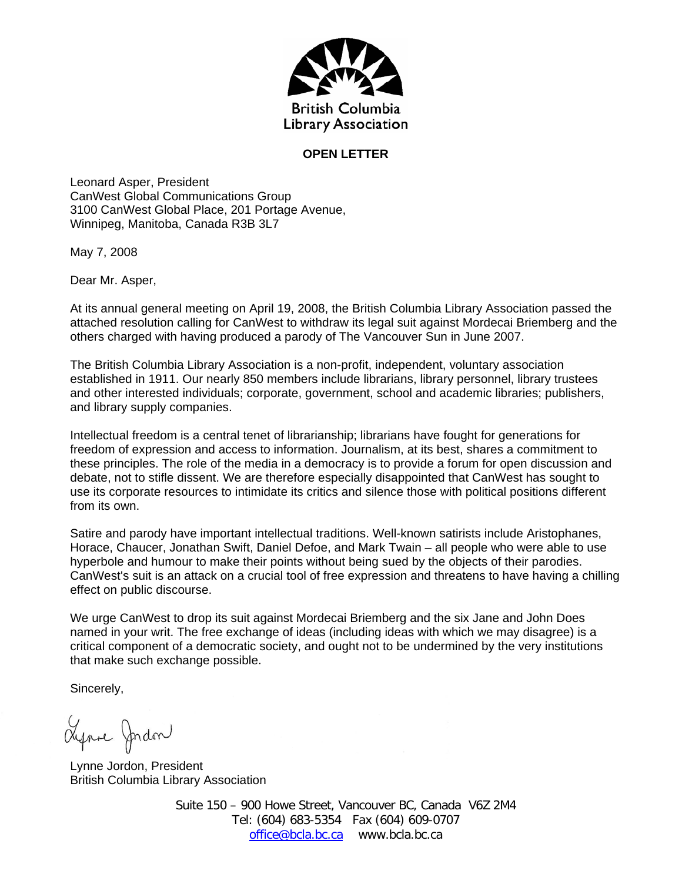

## **OPEN LETTER**

Leonard Asper, President CanWest Global Communications Group 3100 CanWest Global Place, 201 Portage Avenue, Winnipeg, Manitoba, Canada R3B 3L7

May 7, 2008

Dear Mr. Asper,

At its annual general meeting on April 19, 2008, the British Columbia Library Association passed the attached resolution calling for CanWest to withdraw its legal suit against Mordecai Briemberg and the others charged with having produced a parody of The Vancouver Sun in June 2007.

The British Columbia Library Association is a non-profit, independent, voluntary association established in 1911. Our nearly 850 members include librarians, library personnel, library trustees and other interested individuals; corporate, government, school and academic libraries; publishers, and library supply companies.

Intellectual freedom is a central tenet of librarianship; librarians have fought for generations for freedom of expression and access to information. Journalism, at its best, shares a commitment to these principles. The role of the media in a democracy is to provide a forum for open discussion and debate, not to stifle dissent. We are therefore especially disappointed that CanWest has sought to use its corporate resources to intimidate its critics and silence those with political positions different from its own.

Satire and parody have important intellectual traditions. Well-known satirists include Aristophanes, Horace, Chaucer, Jonathan Swift, Daniel Defoe, and Mark Twain – all people who were able to use hyperbole and humour to make their points without being sued by the objects of their parodies. CanWest's suit is an attack on a crucial tool of free expression and threatens to have having a chilling effect on public discourse.

We urge CanWest to drop its suit against Mordecai Briemberg and the six Jane and John Does named in your writ. The free exchange of ideas (including ideas with which we may disagree) is a critical component of a democratic society, and ought not to be undermined by the very institutions that make such exchange possible.

Sincerely,

Lynne Jordon

Lynne Jordon, President British Columbia Library Association

Suite 150 – 900 Howe Street, Vancouver BC, Canada V6Z 2M4 Tel: (604) 683-5354 Fax (604) 609-0707 office@bcla.bc.ca www.bcla.bc.ca